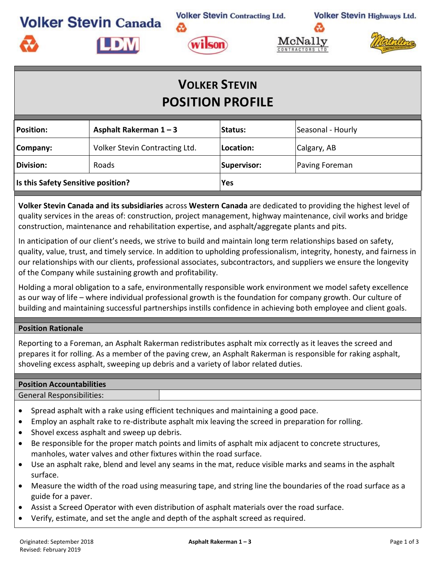**Volker Stevin Contracting Ltd. Volker Stevin Canada** 

**Volker Stevin Highways Ltd.** 



డి

**LDM** 





## **VOLKER STEVIN POSITION PROFILE**

| <b>Position:</b>                                                                                                                                                                                                                                                                                                                                                                                                                                                          | Asphalt Rakerman 1-3           | Status:            | Seasonal - Hourly |  |  |  |  |  |
|---------------------------------------------------------------------------------------------------------------------------------------------------------------------------------------------------------------------------------------------------------------------------------------------------------------------------------------------------------------------------------------------------------------------------------------------------------------------------|--------------------------------|--------------------|-------------------|--|--|--|--|--|
| Company:                                                                                                                                                                                                                                                                                                                                                                                                                                                                  | Volker Stevin Contracting Ltd. | Location:          | Calgary, AB       |  |  |  |  |  |
| <b>Division:</b>                                                                                                                                                                                                                                                                                                                                                                                                                                                          | Roads                          | <b>Supervisor:</b> | Paving Foreman    |  |  |  |  |  |
| Is this Safety Sensitive position?                                                                                                                                                                                                                                                                                                                                                                                                                                        |                                | Yes                |                   |  |  |  |  |  |
| Volker Stevin Canada and its subsidiaries across Western Canada are dedicated to providing the highest level of<br>quality services in the areas of: construction, project management, highway maintenance, civil works and bridge<br>construction, maintenance and rehabilitation expertise, and asphalt/aggregate plants and pits.                                                                                                                                      |                                |                    |                   |  |  |  |  |  |
| In anticipation of our client's needs, we strive to build and maintain long term relationships based on safety,<br>quality, value, trust, and timely service. In addition to upholding professionalism, integrity, honesty, and fairness in<br>our relationships with our clients, professional associates, subcontractors, and suppliers we ensure the longevity<br>of the Company while sustaining growth and profitability.                                            |                                |                    |                   |  |  |  |  |  |
| Holding a moral obligation to a safe, environmentally responsible work environment we model safety excellence<br>as our way of life - where individual professional growth is the foundation for company growth. Our culture of<br>building and maintaining successful partnerships instills confidence in achieving both employee and client goals.                                                                                                                      |                                |                    |                   |  |  |  |  |  |
| <b>Position Rationale</b>                                                                                                                                                                                                                                                                                                                                                                                                                                                 |                                |                    |                   |  |  |  |  |  |
| Reporting to a Foreman, an Asphalt Rakerman redistributes asphalt mix correctly as it leaves the screed and<br>prepares it for rolling. As a member of the paving crew, an Asphalt Rakerman is responsible for raking asphalt,<br>shoveling excess asphalt, sweeping up debris and a variety of labor related duties.                                                                                                                                                     |                                |                    |                   |  |  |  |  |  |
| <b>Position Accountabilities</b>                                                                                                                                                                                                                                                                                                                                                                                                                                          |                                |                    |                   |  |  |  |  |  |
| <b>General Responsibilities:</b>                                                                                                                                                                                                                                                                                                                                                                                                                                          |                                |                    |                   |  |  |  |  |  |
| Spread asphalt with a rake using efficient techniques and maintaining a good pace.<br>$\bullet$<br>Employ an asphalt rake to re-distribute asphalt mix leaving the screed in preparation for rolling.<br>$\bullet$<br>Shovel excess asphalt and sweep up debris.<br>$\bullet$<br>Be responsible for the proper match points and limits of asphalt mix adjacent to concrete structures,<br>$\bullet$<br>manholes, water valves and other fixtures within the road surface. |                                |                    |                   |  |  |  |  |  |
| Use an asphalt rake, blend and level any seams in the mat, reduce visible marks and seams in the asphalt<br>surface.                                                                                                                                                                                                                                                                                                                                                      |                                |                    |                   |  |  |  |  |  |

- Measure the width of the road using measuring tape, and string line the boundaries of the road surface as a guide for a paver.
- Assist a Screed Operator with even distribution of asphalt materials over the road surface.
- Verify, estimate, and set the angle and depth of the asphalt screed as required.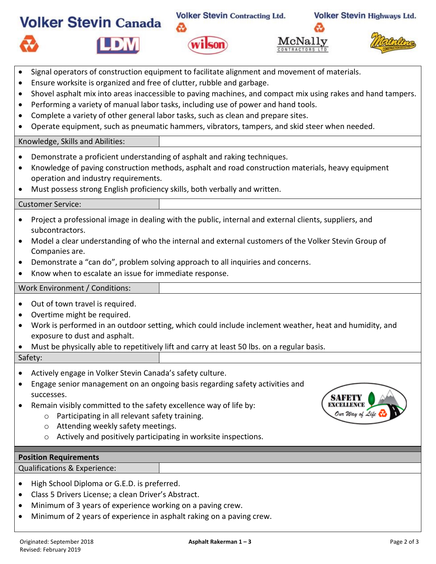|                                                                                                                                                                                                                                                                                                                                                                                                                                                      | <b>Volker Stevin Canada</b>                                                                                                                                                                                                                                                                                                                                                                                                                                                                                                                                        | <b>Volker Stevin Contracting Ltd.</b> |         | <b>Volker Stevin Highways Ltd.</b> |  |  |  |  |
|------------------------------------------------------------------------------------------------------------------------------------------------------------------------------------------------------------------------------------------------------------------------------------------------------------------------------------------------------------------------------------------------------------------------------------------------------|--------------------------------------------------------------------------------------------------------------------------------------------------------------------------------------------------------------------------------------------------------------------------------------------------------------------------------------------------------------------------------------------------------------------------------------------------------------------------------------------------------------------------------------------------------------------|---------------------------------------|---------|------------------------------------|--|--|--|--|
|                                                                                                                                                                                                                                                                                                                                                                                                                                                      |                                                                                                                                                                                                                                                                                                                                                                                                                                                                                                                                                                    |                                       | McNally |                                    |  |  |  |  |
| $\bullet$<br>$\bullet$<br>$\bullet$<br>$\bullet$<br>$\bullet$                                                                                                                                                                                                                                                                                                                                                                                        | Signal operators of construction equipment to facilitate alignment and movement of materials.<br>Ensure worksite is organized and free of clutter, rubble and garbage.<br>Shovel asphalt mix into areas inaccessible to paving machines, and compact mix using rakes and hand tampers.<br>Performing a variety of manual labor tasks, including use of power and hand tools.<br>Complete a variety of other general labor tasks, such as clean and prepare sites.<br>Operate equipment, such as pneumatic hammers, vibrators, tampers, and skid steer when needed. |                                       |         |                                    |  |  |  |  |
|                                                                                                                                                                                                                                                                                                                                                                                                                                                      | Knowledge, Skills and Abilities:                                                                                                                                                                                                                                                                                                                                                                                                                                                                                                                                   |                                       |         |                                    |  |  |  |  |
| Demonstrate a proficient understanding of asphalt and raking techniques.<br>$\bullet$<br>Knowledge of paving construction methods, asphalt and road construction materials, heavy equipment<br>$\bullet$<br>operation and industry requirements.<br>Must possess strong English proficiency skills, both verbally and written.                                                                                                                       |                                                                                                                                                                                                                                                                                                                                                                                                                                                                                                                                                                    |                                       |         |                                    |  |  |  |  |
|                                                                                                                                                                                                                                                                                                                                                                                                                                                      | <b>Customer Service:</b>                                                                                                                                                                                                                                                                                                                                                                                                                                                                                                                                           |                                       |         |                                    |  |  |  |  |
| Project a professional image in dealing with the public, internal and external clients, suppliers, and<br>$\bullet$<br>subcontractors.<br>Model a clear understanding of who the internal and external customers of the Volker Stevin Group of<br>$\bullet$<br>Companies are.<br>Demonstrate a "can do", problem solving approach to all inquiries and concerns.<br>$\bullet$<br>Know when to escalate an issue for immediate response.<br>$\bullet$ |                                                                                                                                                                                                                                                                                                                                                                                                                                                                                                                                                                    |                                       |         |                                    |  |  |  |  |
|                                                                                                                                                                                                                                                                                                                                                                                                                                                      | Work Environment / Conditions:                                                                                                                                                                                                                                                                                                                                                                                                                                                                                                                                     |                                       |         |                                    |  |  |  |  |
| Out of town travel is required.<br>$\bullet$<br>Overtime might be required.<br>Work is performed in an outdoor setting, which could include inclement weather, heat and humidity, and<br>exposure to dust and asphalt.<br>Must be physically able to repetitively lift and carry at least 50 lbs. on a regular basis.                                                                                                                                |                                                                                                                                                                                                                                                                                                                                                                                                                                                                                                                                                                    |                                       |         |                                    |  |  |  |  |
|                                                                                                                                                                                                                                                                                                                                                                                                                                                      | Safety:                                                                                                                                                                                                                                                                                                                                                                                                                                                                                                                                                            |                                       |         |                                    |  |  |  |  |
|                                                                                                                                                                                                                                                                                                                                                                                                                                                      | Actively engage in Volker Stevin Canada's safety culture.<br>Engage senior management on an ongoing basis regarding safety activities and<br>successes.<br>Remain visibly committed to the safety excellence way of life by:<br>Participating in all relevant safety training.<br>$\circ$<br>Attending weekly safety meetings.<br>$\circ$<br>Actively and positively participating in worksite inspections.<br>$\circ$                                                                                                                                             |                                       |         | Our Way of Life                    |  |  |  |  |
| <b>Position Requirements</b>                                                                                                                                                                                                                                                                                                                                                                                                                         |                                                                                                                                                                                                                                                                                                                                                                                                                                                                                                                                                                    |                                       |         |                                    |  |  |  |  |
| Qualifications & Experience:                                                                                                                                                                                                                                                                                                                                                                                                                         |                                                                                                                                                                                                                                                                                                                                                                                                                                                                                                                                                                    |                                       |         |                                    |  |  |  |  |
| ٠                                                                                                                                                                                                                                                                                                                                                                                                                                                    | High School Diploma or G.E.D. is preferred.<br>Class 5 Drivers License; a clean Driver's Abstract.<br>Minimum of 3 years of experience working on a paving crew.                                                                                                                                                                                                                                                                                                                                                                                                   |                                       |         |                                    |  |  |  |  |

• Minimum of 2 years of experience in asphalt raking on a paving crew.